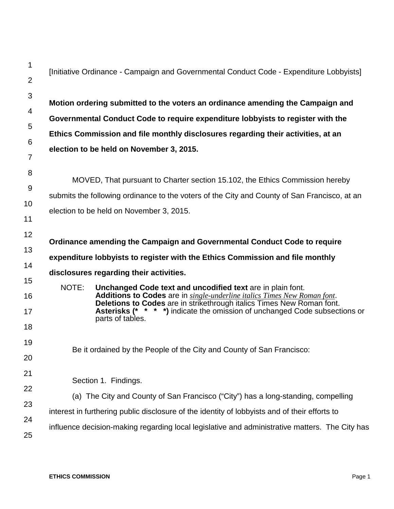| 1<br>$\overline{2}$ |       | [Initiative Ordinance - Campaign and Governmental Conduct Code - Expenditure Lobbyists]                                                                                           |
|---------------------|-------|-----------------------------------------------------------------------------------------------------------------------------------------------------------------------------------|
| 3                   |       |                                                                                                                                                                                   |
| 4                   |       | Motion ordering submitted to the voters an ordinance amending the Campaign and                                                                                                    |
| 5                   |       | Governmental Conduct Code to require expenditure lobbyists to register with the                                                                                                   |
|                     |       | Ethics Commission and file monthly disclosures regarding their activities, at an                                                                                                  |
| 6<br>7              |       | election to be held on November 3, 2015.                                                                                                                                          |
| 8<br>9              |       | MOVED, That pursuant to Charter section 15.102, the Ethics Commission hereby                                                                                                      |
|                     |       | submits the following ordinance to the voters of the City and County of San Francisco, at an                                                                                      |
| 10<br>11            |       | election to be held on November 3, 2015.                                                                                                                                          |
| 12                  |       | Ordinance amending the Campaign and Governmental Conduct Code to require                                                                                                          |
| 13                  |       | expenditure lobbyists to register with the Ethics Commission and file monthly                                                                                                     |
| 14                  |       | disclosures regarding their activities.                                                                                                                                           |
| 15<br>16            | NOTE: | Unchanged Code text and uncodified text are in plain font.<br>Additions to Codes are in single-underline italics Times New Roman font.                                            |
| 17                  |       | <b>Deletions to Codes</b> are in strikethrough italics Times New Roman font.<br>Asterisks (*<br>* * *) indicate the omission of unchanged Code subsections or<br>parts of tables. |
| 18                  |       |                                                                                                                                                                                   |
| 19                  |       | Be it ordained by the People of the City and County of San Francisco:                                                                                                             |
| 20                  |       |                                                                                                                                                                                   |
| 21                  |       | Section 1. Findings.                                                                                                                                                              |
|                     |       |                                                                                                                                                                                   |
| 22                  |       | (a) The City and County of San Francisco ("City") has a long-standing, compelling                                                                                                 |
| 23<br>24            |       | interest in furthering public disclosure of the identity of lobbyists and of their efforts to                                                                                     |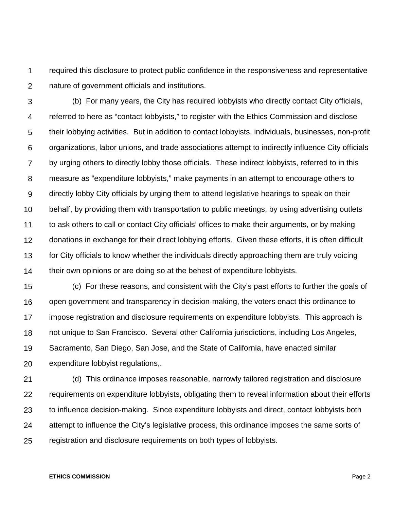1  $\mathcal{P}$ required this disclosure to protect public confidence in the responsiveness and representative nature of government officials and institutions.

3 4 5 6 7 8 9 10 11 12 13 14 (b) For many years, the City has required lobbyists who directly contact City officials, referred to here as "contact lobbyists," to register with the Ethics Commission and disclose their lobbying activities. But in addition to contact lobbyists, individuals, businesses, non-profit organizations, labor unions, and trade associations attempt to indirectly influence City officials by urging others to directly lobby those officials. These indirect lobbyists, referred to in this measure as "expenditure lobbyists," make payments in an attempt to encourage others to directly lobby City officials by urging them to attend legislative hearings to speak on their behalf, by providing them with transportation to public meetings, by using advertising outlets to ask others to call or contact City officials' offices to make their arguments, or by making donations in exchange for their direct lobbying efforts. Given these efforts, it is often difficult for City officials to know whether the individuals directly approaching them are truly voicing their own opinions or are doing so at the behest of expenditure lobbyists.

15 16 17 18 19 20 (c) For these reasons, and consistent with the City's past efforts to further the goals of open government and transparency in decision-making, the voters enact this ordinance to impose registration and disclosure requirements on expenditure lobbyists. This approach is not unique to San Francisco. Several other California jurisdictions, including Los Angeles, Sacramento, San Diego, San Jose, and the State of California, have enacted similar expenditure lobbyist regulations,.

21 22 23 24 25 (d) This ordinance imposes reasonable, narrowly tailored registration and disclosure requirements on expenditure lobbyists, obligating them to reveal information about their efforts to influence decision-making. Since expenditure lobbyists and direct, contact lobbyists both attempt to influence the City's legislative process, this ordinance imposes the same sorts of registration and disclosure requirements on both types of lobbyists.

#### **ETHICS COMMISSION** Page 2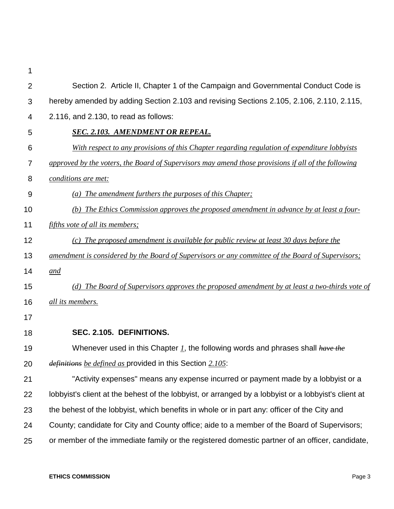| $\overline{2}$ | Section 2. Article II, Chapter 1 of the Campaign and Governmental Conduct Code is                    |
|----------------|------------------------------------------------------------------------------------------------------|
| 3              | hereby amended by adding Section 2.103 and revising Sections 2.105, 2.106, 2.110, 2.115,             |
| 4              | 2.116, and 2.130, to read as follows:                                                                |
| 5              | <b>SEC. 2.103. AMENDMENT OR REPEAL.</b>                                                              |
| 6              | With respect to any provisions of this Chapter regarding regulation of expenditure lobbyists         |
| 7              | approved by the voters, the Board of Supervisors may amend those provisions if all of the following  |
| 8              | conditions are met:                                                                                  |
| 9              | (a) The amendment furthers the purposes of this Chapter;                                             |
| 10             | (b) The Ethics Commission approves the proposed amendment in advance by at least a four-             |
| 11             | <i>fifths vote of all its members;</i>                                                               |
| 12             | (c) The proposed amendment is available for public review at least 30 days before the                |
| 13             | amendment is considered by the Board of Supervisors or any committee of the Board of Supervisors;    |
| 14             | and                                                                                                  |
| 15             | (d) The Board of Supervisors approves the proposed amendment by at least a two-thirds vote of        |
| 16             | all its members.                                                                                     |
| 17             |                                                                                                      |
| 18             | SEC. 2.105. DEFINITIONS.                                                                             |
| 19             | Whenever used in this Chapter 1, the following words and phrases shall have the                      |
| 20             | definitions be defined as provided in this Section 2.105:                                            |
| 21             | "Activity expenses" means any expense incurred or payment made by a lobbyist or a                    |
| 22             | lobbyist's client at the behest of the lobbyist, or arranged by a lobbyist or a lobbyist's client at |
| 23             | the behest of the lobbyist, which benefits in whole or in part any: officer of the City and          |
| 24             | County; candidate for City and County office; aide to a member of the Board of Supervisors;          |
| 25             | or member of the immediate family or the registered domestic partner of an officer, candidate,       |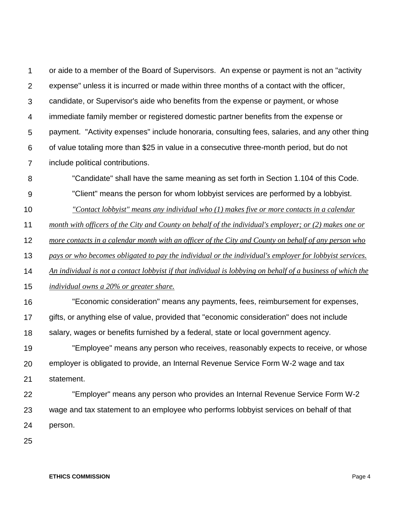1  $\mathcal{P}$ 3 4 5 6 7 or aide to a member of the Board of Supervisors. An expense or payment is not an "activity expense" unless it is incurred or made within three months of a contact with the officer, candidate, or Supervisor's aide who benefits from the expense or payment, or whose immediate family member or registered domestic partner benefits from the expense or payment. "Activity expenses" include honoraria, consulting fees, salaries, and any other thing of value totaling more than \$25 in value in a consecutive three-month period, but do not include political contributions.

- 8 "Candidate" shall have the same meaning as set forth in Section 1.104 of this Code.
- 9 "Client" means the person for whom lobbyist services are performed by a lobbyist.
- 10 *"Contact lobbyist" means any individual who (1) makes five or more contacts in a calendar*
- 11 *month with officers of the City and County on behalf of the individual's employer; or (2) makes one or*
- 12 *more contacts in a calendar month with an officer of the City and County on behalf of any person who*
- 13 *pays or who becomes obligated to pay the individual or the individual's employer for lobbyist services.*
- 14 *An individual is not a contact lobbyist if that individual is lobbying on behalf of a business of which the*
- 15 *individual owns a 20% or greater share.*
- 16 "Economic consideration" means any payments, fees, reimbursement for expenses,
- 17 gifts, or anything else of value, provided that "economic consideration" does not include
- 18 salary, wages or benefits furnished by a federal, state or local government agency.
- 19 20 21 "Employee" means any person who receives, reasonably expects to receive, or whose employer is obligated to provide, an Internal Revenue Service Form W-2 wage and tax statement.
- 22 23 24 "Employer" means any person who provides an Internal Revenue Service Form W-2 wage and tax statement to an employee who performs lobbyist services on behalf of that person.
- 25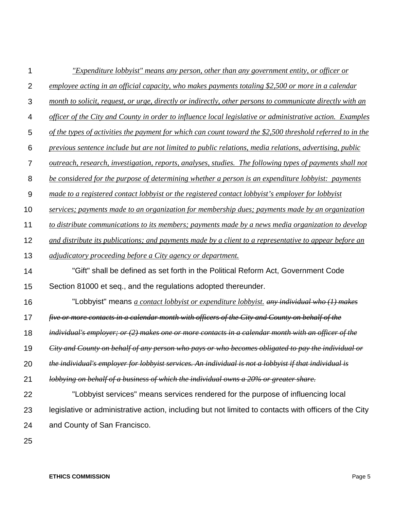| 1              | "Expenditure lobbyist" means any person, other than any government entity, or officer or                   |
|----------------|------------------------------------------------------------------------------------------------------------|
| $\overline{2}$ | employee acting in an official capacity, who makes payments totaling \$2,500 or more in a calendar         |
| 3              | month to solicit, request, or urge, directly or indirectly, other persons to communicate directly with an  |
| 4              | officer of the City and County in order to influence local legislative or administrative action. Examples  |
| 5              | of the types of activities the payment for which can count toward the \$2,500 threshold referred to in the |
| 6              | previous sentence include but are not limited to public relations, media relations, advertising, public    |
| $\overline{7}$ | outreach, research, investigation, reports, analyses, studies. The following types of payments shall not   |
| 8              | be considered for the purpose of determining whether a person is an expenditure lobbyist: payments         |
| 9              | made to a registered contact lobbyist or the registered contact lobbyist's employer for lobbyist           |
| 10             | services; payments made to an organization for membership dues; payments made by an organization           |
| 11             | to distribute communications to its members; payments made by a news media organization to develop         |
| 12             | and distribute its publications; and payments made by a client to a representative to appear before an     |
| 13             | <i>adjudicatory proceeding before a City agency or department.</i>                                         |
| 14             | "Gift" shall be defined as set forth in the Political Reform Act, Government Code                          |
| 15             | Section 81000 et seq., and the regulations adopted thereunder.                                             |
| 16             | "Lobbyist" means <i>a contact lobbyist or expenditure lobbyist, any individual who (1) makes</i>           |
| 17             | five or more contacts in a calendar month with officers of the City and County on behalf of the            |
| 18             | individual's employer; or $(2)$ makes one or more contacts in a calendar month with an officer of the      |
| 19             | City and County on behalf of any person who pays or who becomes obligated to pay the individual or         |
| 20             | the individual's employer for lobbyist services. An individual is not a lobbyist if that individual is     |
| 21             | lobbying on behalf of a business of which the individual owns a 20% or greater share.                      |
| 22             | "Lobbyist services" means services rendered for the purpose of influencing local                           |
| 23             | legislative or administrative action, including but not limited to contacts with officers of the City      |
| 24             | and County of San Francisco.                                                                               |
|                |                                                                                                            |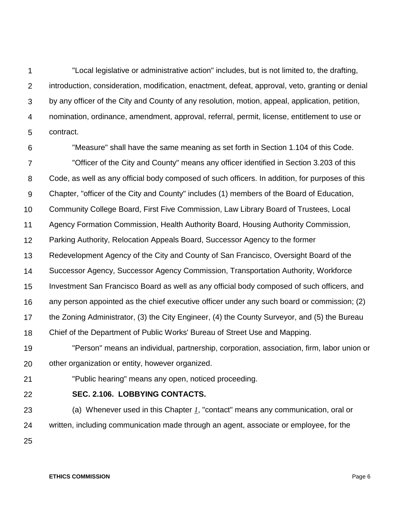1 2 3 4 5 "Local legislative or administrative action" includes, but is not limited to, the drafting, introduction, consideration, modification, enactment, defeat, approval, veto, granting or denial by any officer of the City and County of any resolution, motion, appeal, application, petition, nomination, ordinance, amendment, approval, referral, permit, license, entitlement to use or contract.

6 7 8 9 10 11 12 13 14 15 16 17 18 19 "Measure" shall have the same meaning as set forth in Section 1.104 of this Code. "Officer of the City and County" means any officer identified in Section 3.203 of this Code, as well as any official body composed of such officers. In addition, for purposes of this Chapter, "officer of the City and County" includes (1) members of the Board of Education, Community College Board, First Five Commission, Law Library Board of Trustees, Local Agency Formation Commission, Health Authority Board, Housing Authority Commission, Parking Authority, Relocation Appeals Board, Successor Agency to the former Redevelopment Agency of the City and County of San Francisco, Oversight Board of the Successor Agency, Successor Agency Commission, Transportation Authority, Workforce Investment San Francisco Board as well as any official body composed of such officers, and any person appointed as the chief executive officer under any such board or commission; (2) the Zoning Administrator, (3) the City Engineer, (4) the County Surveyor, and (5) the Bureau Chief of the Department of Public Works' Bureau of Street Use and Mapping. "Person" means an individual, partnership, corporation, association, firm, labor union or

- 20 other organization or entity, however organized.
- 21

# "Public hearing" means any open, noticed proceeding.

22

# **SEC. 2.106. LOBBYING CONTACTS.**

23 24 (a) Whenever used in this Chapter *1*, "contact" means any communication, oral or written, including communication made through an agent, associate or employee, for the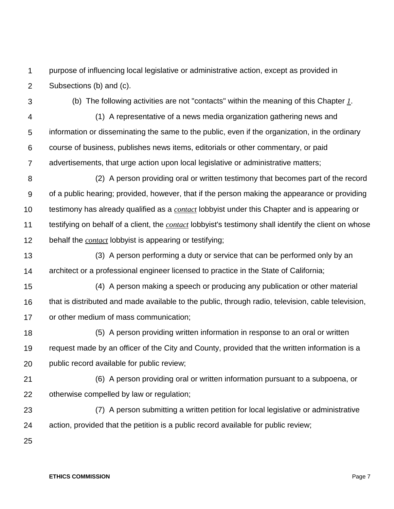1  $\mathcal{P}$ purpose of influencing local legislative or administrative action, except as provided in Subsections (b) and (c).

3

(b) The following activities are not "contacts" within the meaning of this Chapter *1*.

4

5

(1) A representative of a news media organization gathering news and information or disseminating the same to the public, even if the organization, in the ordinary

6 7 course of business, publishes news items, editorials or other commentary, or paid advertisements, that urge action upon local legislative or administrative matters;

8 9 10 11 12 (2) A person providing oral or written testimony that becomes part of the record of a public hearing; provided, however, that if the person making the appearance or providing testimony has already qualified as a *contact* lobbyist under this Chapter and is appearing or testifying on behalf of a client, the *contact* lobbyist's testimony shall identify the client on whose behalf the *contact* lobbyist is appearing or testifying;

13 14 (3) A person performing a duty or service that can be performed only by an architect or a professional engineer licensed to practice in the State of California;

15 16 17 (4) A person making a speech or producing any publication or other material that is distributed and made available to the public, through radio, television, cable television, or other medium of mass communication;

18 19 20 (5) A person providing written information in response to an oral or written request made by an officer of the City and County, provided that the written information is a public record available for public review;

21 22 (6) A person providing oral or written information pursuant to a subpoena, or otherwise compelled by law or regulation;

- 23 24 (7) A person submitting a written petition for local legislative or administrative action, provided that the petition is a public record available for public review;
- 25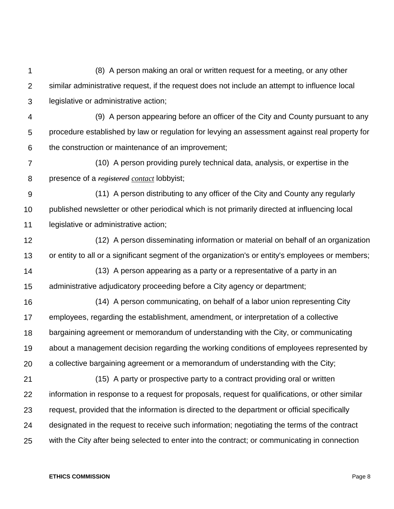1 2 3 4 5 6 7 8 9 10 11 12 13 14 15 16 17 18 19 20 21 22 23 24 25 (8) A person making an oral or written request for a meeting, or any other similar administrative request, if the request does not include an attempt to influence local legislative or administrative action; (9) A person appearing before an officer of the City and County pursuant to any procedure established by law or regulation for levying an assessment against real property for the construction or maintenance of an improvement; (10) A person providing purely technical data, analysis, or expertise in the presence of a *registered contact* lobbyist; (11) A person distributing to any officer of the City and County any regularly published newsletter or other periodical which is not primarily directed at influencing local legislative or administrative action; (12) A person disseminating information or material on behalf of an organization or entity to all or a significant segment of the organization's or entity's employees or members; (13) A person appearing as a party or a representative of a party in an administrative adjudicatory proceeding before a City agency or department; (14) A person communicating, on behalf of a labor union representing City employees, regarding the establishment, amendment, or interpretation of a collective bargaining agreement or memorandum of understanding with the City, or communicating about a management decision regarding the working conditions of employees represented by a collective bargaining agreement or a memorandum of understanding with the City; (15) A party or prospective party to a contract providing oral or written information in response to a request for proposals, request for qualifications, or other similar request, provided that the information is directed to the department or official specifically designated in the request to receive such information; negotiating the terms of the contract with the City after being selected to enter into the contract; or communicating in connection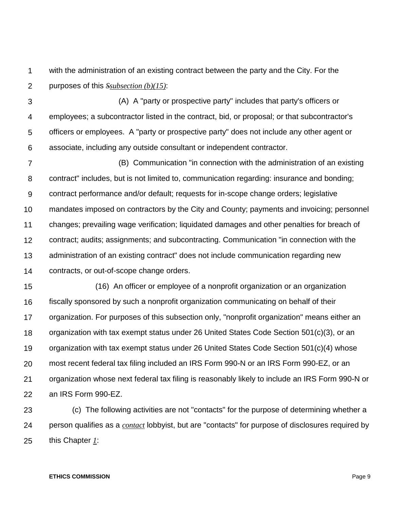1  $\mathcal{P}$ with the administration of an existing contract between the party and the City. For the purposes of this *Ssubsection (b)(15)*:

3 4 5 6 (A) A "party or prospective party" includes that party's officers or employees; a subcontractor listed in the contract, bid, or proposal; or that subcontractor's officers or employees. A "party or prospective party" does not include any other agent or associate, including any outside consultant or independent contractor.

7 8 9 10 11 12 13 14 (B) Communication "in connection with the administration of an existing contract" includes, but is not limited to, communication regarding: insurance and bonding; contract performance and/or default; requests for in-scope change orders; legislative mandates imposed on contractors by the City and County; payments and invoicing; personnel changes; prevailing wage verification; liquidated damages and other penalties for breach of contract; audits; assignments; and subcontracting. Communication "in connection with the administration of an existing contract" does not include communication regarding new contracts, or out-of-scope change orders.

15 16 17 18 19 20 21 22 (16) An officer or employee of a nonprofit organization or an organization fiscally sponsored by such a nonprofit organization communicating on behalf of their organization. For purposes of this subsection only, "nonprofit organization" means either an organization with tax exempt status under 26 United States Code Section 501(c)(3), or an organization with tax exempt status under 26 United States Code Section 501(c)(4) whose most recent federal tax filing included an IRS Form 990-N or an IRS Form 990-EZ, or an organization whose next federal tax filing is reasonably likely to include an IRS Form 990-N or an IRS Form 990-EZ.

23 24 25 (c) The following activities are not "contacts" for the purpose of determining whether a person qualifies as a *contact* lobbyist, but are "contacts" for purpose of disclosures required by this Chapter *1*: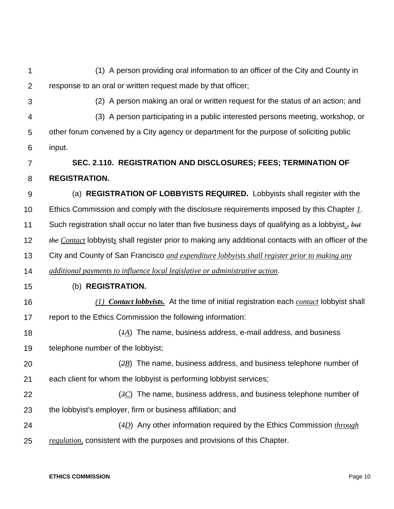1 2 3 4 5 6 7 8 9 10 11 12 13 14 15 16 17 18 19 20 21 22 23 24 25 (1) A person providing oral information to an officer of the City and County in response to an oral or written request made by that officer; (2) A person making an oral or written request for the status of an action; and (3) A person participating in a public interested persons meeting, workshop, or other forum convened by a City agency or department for the purpose of soliciting public input. **SEC. 2.110. REGISTRATION AND DISCLOSURES; FEES; TERMINATION OF REGISTRATION.** (a) **REGISTRATION OF LOBBYISTS REQUIRED.** Lobbyists shall register with the Ethics Commission and comply with the disclosure requirements imposed by this Chapter *1*. Such registration shall occur no later than five business days of qualifying as a lobbyist.*, but the Contact* lobbyist*s* shall register prior to making any additional contacts with an officer of the City and County of San Francisco *and expenditure lobbyists shall register prior to making any additional payments to influence local legislative or administrative action*. (b) **REGISTRATION.** *(1) Contact lobbyists.* At the time of initial registration each *contact* lobbyist shall report to the Ethics Commission the following information: (*1A*) The name, business address, e-mail address, and business telephone number of the lobbyist; (*2B*) The name, business address, and business telephone number of each client for whom the lobbyist is performing lobbyist services; (*3C*) The name, business address, and business telephone number of the lobbyist's employer, firm or business affiliation; and (*4D*) Any other information required by the Ethics Commission *through regulation,* consistent with the purposes and provisions of this Chapter.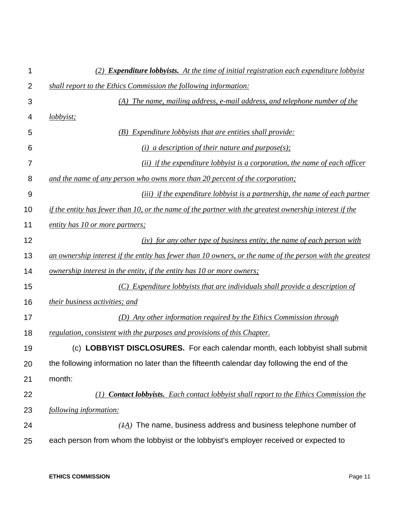| 1              | (2) <b>Expenditure lobbyists.</b> At the time of initial registration each expenditure lobbyist           |
|----------------|-----------------------------------------------------------------------------------------------------------|
| $\overline{2}$ | shall report to the Ethics Commission the following information:                                          |
| 3              | (A) The name, mailing address, e-mail address, and telephone number of the                                |
| 4              | <i>lobbyist</i> ;                                                                                         |
| 5              | (B) Expenditure lobbyists that are entities shall provide:                                                |
| 6              | (i) a description of their nature and purpose(s);                                                         |
| 7              | (ii) if the expenditure lobbyist is a corporation, the name of each officer                               |
| 8              | and the name of any person who owns more than 20 percent of the corporation;                              |
| 9              | (iii) if the expenditure lobbyist is a partnership, the name of each partner                              |
| 10             | if the entity has fewer than 10, or the name of the partner with the greatest ownership interest if the   |
| 11             | entity has 10 or more partners;                                                                           |
| 12             | $(iv)$ for any other type of business entity, the name of each person with                                |
| 13             | an ownership interest if the entity has fewer than 10 owners, or the name of the person with the greatest |
| 14             | <u>ownership interest in the entity, if the entity has 10 or more owners;</u>                             |
| 15             | (C) Expenditure lobbyists that are individuals shall provide a description of                             |
| 16             | their business activities; and                                                                            |
| 17             | (D) Any other information required by the Ethics Commission through                                       |
| 18             | regulation, consistent with the purposes and provisions of this Chapter.                                  |
| 19             | (c) LOBBYIST DISCLOSURES. For each calendar month, each lobbyist shall submit                             |
| 20             | the following information no later than the fifteenth calendar day following the end of the               |
| 21             | month:                                                                                                    |
| 22             | <b>Contact lobbyists.</b> Each contact lobby ist shall report to the Ethics Commission the<br>(I)         |
| 23             | following information:                                                                                    |
| 24             | $(HA)$ The name, business address and business telephone number of                                        |
| 25             | each person from whom the lobbyist or the lobbyist's employer received or expected to                     |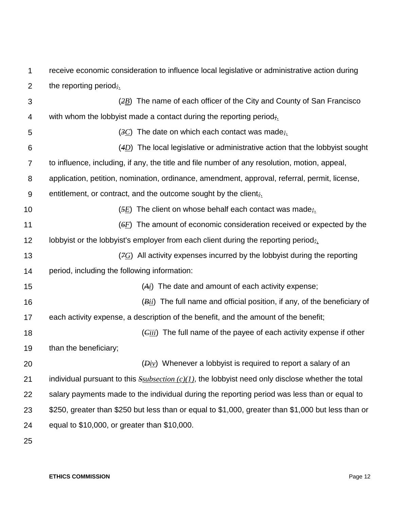1  $\mathcal{P}$ receive economic consideration to influence local legislative or administrative action during the reporting period*;.*

3 4 5 6 7 8 9 10 11 12 13 14 15 16 17 18 19 20 21 22 23 24 (*2B*) The name of each officer of the City and County of San Francisco with whom the lobbyist made a contact during the reporting period*;.* (*3C*) The date on which each contact was made*;.* (*4D*) The local legislative or administrative action that the lobbyist sought to influence, including, if any, the title and file number of any resolution, motion, appeal, application, petition, nomination, ordinance, amendment, approval, referral, permit, license, entitlement, or contract, and the outcome sought by the client*;.* (*5E*) The client on whose behalf each contact was made*;.* (*6F*) The amount of economic consideration received or expected by the lobbyist or the lobbyist's employer from each client during the reporting period*;.* (*7G*) All activity expenses incurred by the lobbyist during the reporting period, including the following information: (*Ai*) The date and amount of each activity expense; (*Bii*) The full name and official position, if any, of the beneficiary of each activity expense, a description of the benefit, and the amount of the benefit; (*Ciii*) The full name of the payee of each activity expense if other than the beneficiary; (*Div*) Whenever a lobbyist is required to report a salary of an individual pursuant to this *Ssubsection (c)(1)*, the lobbyist need only disclose whether the total salary payments made to the individual during the reporting period was less than or equal to \$250, greater than \$250 but less than or equal to \$1,000, greater than \$1,000 but less than or equal to \$10,000, or greater than \$10,000.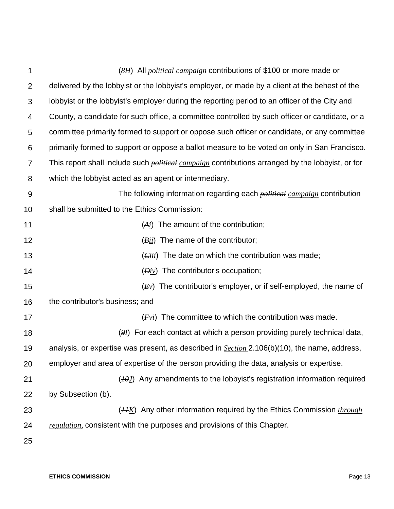| 1              | (8H) All <i>political campaign</i> contributions of \$100 or more made or                               |
|----------------|---------------------------------------------------------------------------------------------------------|
| $\overline{2}$ | delivered by the lobby ist or the lobby ist's employer, or made by a client at the behest of the        |
| 3              | lobbyist or the lobbyist's employer during the reporting period to an officer of the City and           |
| 4              | County, a candidate for such office, a committee controlled by such officer or candidate, or a          |
| 5              | committee primarily formed to support or oppose such officer or candidate, or any committee             |
| 6              | primarily formed to support or oppose a ballot measure to be voted on only in San Francisco.            |
| $\overline{7}$ | This report shall include such <i>political campaign</i> contributions arranged by the lobbyist, or for |
| 8              | which the lobbyist acted as an agent or intermediary.                                                   |
| $9\,$          | The following information regarding each <i>political campaign</i> contribution                         |
| 10             | shall be submitted to the Ethics Commission:                                                            |
| 11             | $(A_i)$ The amount of the contribution;                                                                 |
| 12             | The name of the contributor;<br>(Bii)                                                                   |
| 13             | The date on which the contribution was made;<br>$\left(\overline{C}ii\right)$                           |
| 14             | $(Div)$ The contributor's occupation;                                                                   |
| 15             | The contributor's employer, or if self-employed, the name of<br>(Ev)                                    |
| 16             | the contributor's business; and                                                                         |
| 17             | The committee to which the contribution was made.<br>(Fvi)                                              |
| 18             | $(9I)$ For each contact at which a person providing purely technical data,                              |
| 19             | analysis, or expertise was present, as described in <b>Section</b> 2.106(b)(10), the name, address,     |
| 20             | employer and area of expertise of the person providing the data, analysis or expertise.                 |
| 21             | $(10I)$ Any amendments to the lobbyist's registration information required                              |
| 22             | by Subsection (b).                                                                                      |
| 23             | $(HK)$ Any other information required by the Ethics Commission <i>through</i>                           |
| 24             | <i>regulation</i> , consistent with the purposes and provisions of this Chapter.                        |
| 25             |                                                                                                         |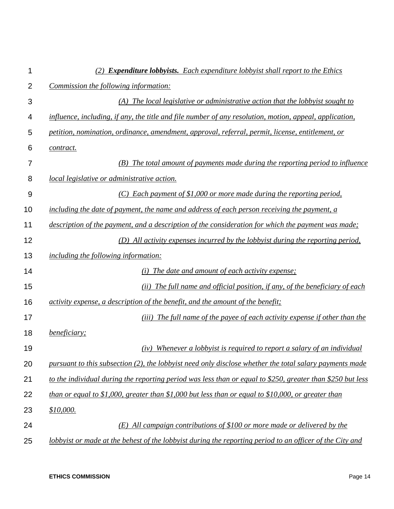| 1              | (2) <b>Expenditure lobbyists.</b> Each expenditure lobbyist shall report to the Ethics                     |
|----------------|------------------------------------------------------------------------------------------------------------|
| $\overline{2}$ | Commission the following information:                                                                      |
| 3              | $(A)$ The local legislative or administrative action that the lobbyist sought to                           |
| 4              | influence, including, if any, the title and file number of any resolution, motion, appeal, application,    |
| 5              | petition, nomination, ordinance, amendment, approval, referral, permit, license, entitlement, or           |
| 6              | contract.                                                                                                  |
| 7              | (B) The total amount of payments made during the reporting period to influence                             |
| 8              | <i>local legislative or administrative action.</i>                                                         |
| 9              | $(C)$ Each payment of \$1,000 or more made during the reporting period,                                    |
| 10             | including the date of payment, the name and address of each person receiving the payment, a                |
| 11             | description of the payment, and a description of the consideration for which the payment was made;         |
| 12             | (D) All activity expenses incurred by the lobby ist during the reporting period,                           |
| 13             | <i>including the following information:</i>                                                                |
| 14             | (i) The date and amount of each activity expense;                                                          |
| 15             | (ii) The full name and official position, if any, of the beneficiary of each                               |
| 16             | activity expense, a description of the benefit, and the amount of the benefit;                             |
| 17             | (iii) The full name of the payee of each activity expense if other than the                                |
| 18             | <i>beneficiary;</i>                                                                                        |
| 19             | (iv) Whenever a lobbyist is required to report a salary of an individual                                   |
| 20             | pursuant to this subsection (2), the lobbyist need only disclose whether the total salary payments made    |
| 21             | to the individual during the reporting period was less than or equal to \$250, greater than \$250 but less |
| 22             | than or equal to \$1,000, greater than \$1,000 but less than or equal to \$10,000, or greater than         |
| 23             | \$10,000.                                                                                                  |
| 24             | $(E)$ All campaign contributions of \$100 or more made or delivered by the                                 |
| 25             | lobbyist or made at the behest of the lobbyist during the reporting period to an officer of the City and   |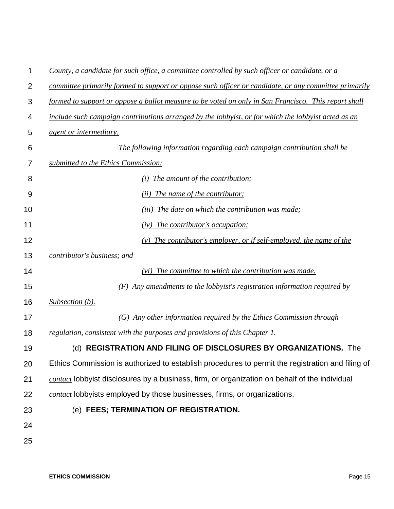| 1              | County, a candidate for such office, a committee controlled by such officer or candidate, or a        |
|----------------|-------------------------------------------------------------------------------------------------------|
| $\overline{2}$ | committee primarily formed to support or oppose such officer or candidate, or any committee primarily |
| 3              | formed to support or oppose a ballot measure to be voted on only in San Francisco. This report shall  |
| 4              | include such campaign contributions arranged by the lobbyist, or for which the lobbyist acted as an   |
| 5              | <i>agent or intermediary.</i>                                                                         |
| 6              | The following information regarding each campaign contribution shall be                               |
| 7              | submitted to the Ethics Commission:                                                                   |
| 8              | The amount of the contribution;<br>(i)                                                                |
| 9              | ( <i>ii</i> ) The name of the contributor;                                                            |
| 10             | The date on which the contribution was made;<br>(iii)                                                 |
| 11             | (iv) The contributor's occupation;                                                                    |
| 12             | The contributor's employer, or if self-employed, the name of the                                      |
| 13             | contributor's business; and                                                                           |
| 14             | The committee to which the contribution was made.<br>(vi)                                             |
| 15             | Any amendments to the lobbyist's registration information required by<br>(F)                          |
| 16             | Subsection (b).                                                                                       |
| 17             | (G) Any other information required by the Ethics Commission through                                   |
| 18             | regulation, consistent with the purposes and provisions of this Chapter 1.                            |
| 19             | (d) REGISTRATION AND FILING OF DISCLOSURES BY ORGANIZATIONS. The                                      |
| 20             | Ethics Commission is authorized to establish procedures to permit the registration and filing of      |
| 21             | contact lobbyist disclosures by a business, firm, or organization on behalf of the individual         |
| 22             | contact lobbyists employed by those businesses, firms, or organizations.                              |
| 23             | (e) FEES; TERMINATION OF REGISTRATION.                                                                |
| 24             |                                                                                                       |
| 25             |                                                                                                       |
|                |                                                                                                       |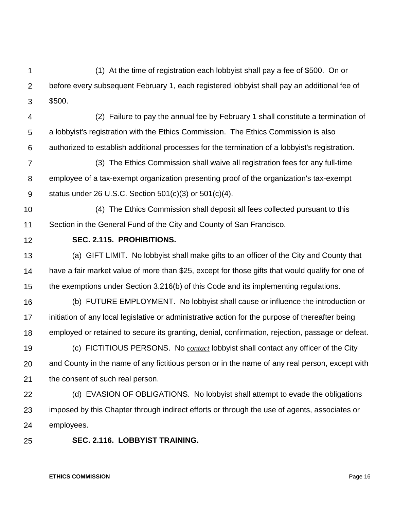1  $\mathcal{P}$ 3 (1) At the time of registration each lobbyist shall pay a fee of \$500. On or before every subsequent February 1, each registered lobbyist shall pay an additional fee of \$500.

4 5 6 (2) Failure to pay the annual fee by February 1 shall constitute a termination of a lobbyist's registration with the Ethics Commission. The Ethics Commission is also authorized to establish additional processes for the termination of a lobbyist's registration.

7 8 9 (3) The Ethics Commission shall waive all registration fees for any full-time employee of a tax-exempt organization presenting proof of the organization's tax-exempt status under 26 U.S.C. Section 501(c)(3) or 501(c)(4).

10 11 (4) The Ethics Commission shall deposit all fees collected pursuant to this Section in the General Fund of the City and County of San Francisco.

12

# **SEC. 2.115. PROHIBITIONS.**

13 14 15 (a) GIFT LIMIT. No lobbyist shall make gifts to an officer of the City and County that have a fair market value of more than \$25, except for those gifts that would qualify for one of the exemptions under Section 3.216(b) of this Code and its implementing regulations.

16 17 18 (b) FUTURE EMPLOYMENT. No lobbyist shall cause or influence the introduction or initiation of any local legislative or administrative action for the purpose of thereafter being employed or retained to secure its granting, denial, confirmation, rejection, passage or defeat.

19 20 21 (c) FICTITIOUS PERSONS. No *contact* lobbyist shall contact any officer of the City and County in the name of any fictitious person or in the name of any real person, except with the consent of such real person.

22 23 24 (d) EVASION OF OBLIGATIONS. No lobbyist shall attempt to evade the obligations imposed by this Chapter through indirect efforts or through the use of agents, associates or employees.

#### 25 **SEC. 2.116. LOBBYIST TRAINING.**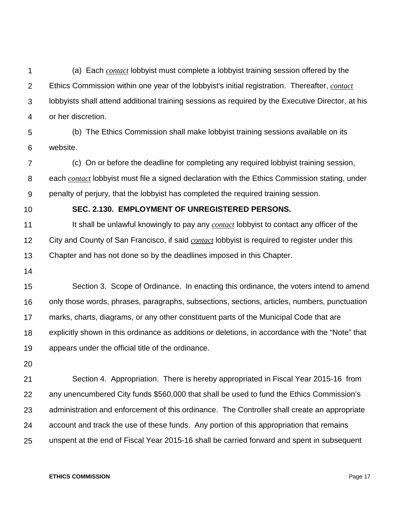1  $\mathcal{P}$ 3 4 (a) Each *contact* lobbyist must complete a lobbyist training session offered by the Ethics Commission within one year of the lobbyist's initial registration. Thereafter, *contact* lobbyists shall attend additional training sessions as required by the Executive Director, at his or her discretion.

5 6 (b) The Ethics Commission shall make lobbyist training sessions available on its website.

7 8 9 (c) On or before the deadline for completing any required lobbyist training session, each *contact* lobbyist must file a signed declaration with the Ethics Commission stating, under penalty of perjury, that the lobbyist has completed the required training session.

10

#### **SEC. 2.130. EMPLOYMENT OF UNREGISTERED PERSONS.**

11 12 13 It shall be unlawful knowingly to pay any *contact* lobbyist to contact any officer of the City and County of San Francisco, if said *contact* lobbyist is required to register under this Chapter and has not done so by the deadlines imposed in this Chapter.

14

15 16 17 18 19 Section 3. Scope of Ordinance. In enacting this ordinance, the voters intend to amend only those words, phrases, paragraphs, subsections, sections, articles, numbers, punctuation marks, charts, diagrams, or any other constituent parts of the Municipal Code that are explicitly shown in this ordinance as additions or deletions, in accordance with the "Note" that appears under the official title of the ordinance.

20

21 22 23 24 25 Section 4. Appropriation. There is hereby appropriated in Fiscal Year 2015-16 from any unencumbered City funds \$560,000 that shall be used to fund the Ethics Commission's administration and enforcement of this ordinance. The Controller shall create an appropriate account and track the use of these funds. Any portion of this appropriation that remains unspent at the end of Fiscal Year 2015-16 shall be carried forward and spent in subsequent